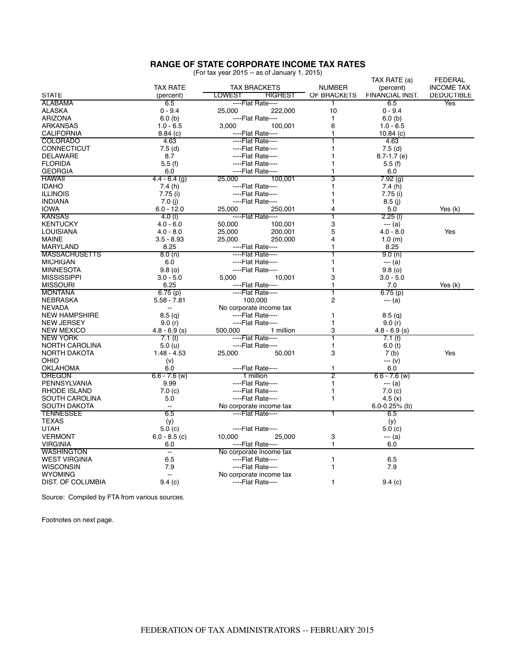## **RANGE OF STATE CORPORATE INCOME TAX RATES**<br>(For tax year 2015 -- as of January 1, 2015)

| (For tax year 2015 -- as of January 1, 2015) |  |  |  |  |
|----------------------------------------------|--|--|--|--|
|----------------------------------------------|--|--|--|--|

|                                        |                          |                         |                |                   | TAX RATE (a)      | FEDERAL           |
|----------------------------------------|--------------------------|-------------------------|----------------|-------------------|-------------------|-------------------|
| <b>TAX RATE</b><br><b>TAX BRACKETS</b> |                          | <b>NUMBER</b>           | (percent)      | <b>INCOME TAX</b> |                   |                   |
| <b>STATE</b>                           | (percent)                | LOWEST                  | <b>HIGHEST</b> | OF BRACKETS       | FINANCIAL INST.   | <b>DEDUCTIBLE</b> |
| <b>ALABAMA</b>                         | 6.5                      | ---Flat Rate---         |                | 1                 | 6.5               | Yes               |
| <b>ALASKA</b>                          | $0 - 9.4$                | 25,000                  | 222,000        | 10                | $0 - 9.4$         |                   |
| <b>ARIZONA</b>                         | 6.0(b)                   | ----Flat Rate----       |                | 1                 | 6.0(b)            |                   |
| ARKANSAS                               | $1.0 - 6.5$              | 3,000                   | 100,001        | 6                 | $1.0 - 6.5$       |                   |
| <b>CALIFORNIA</b>                      | 8.84(c)                  | ----Flat Rate----       |                | 1                 | 10.84 $(c)$       |                   |
| <b>COLORADO</b>                        | 4.63                     | ---Flat Rate---         |                |                   | 4.63              |                   |
| <b>CONNECTICUT</b>                     | 7.5(d)                   | ----Flat Rate----       |                | 1                 | 7.5(d)            |                   |
| <b>DELAWARE</b>                        | 8.7                      | ----Flat Rate----       |                |                   | $8.7 - 1.7$ (e)   |                   |
| <b>FLORIDA</b>                         | 5.5(f)                   | ----Flat Rate----       |                | 1                 | 5.5(f)            |                   |
| <b>GEORGIA</b>                         | 6.0                      | ----Flat Rate----       |                | 1                 | 6.0               |                   |
| <b>HAWAII</b>                          | $4.4 - 6.4$ (g)          | 25,000<br>100.001       |                | 3                 | 7.92(g)           |                   |
| <b>IDAHO</b>                           | 7.4(h)                   | ----Flat Rate----       |                | 1                 | 7.4(h)            |                   |
| <b>ILLINOIS</b>                        | 7.75 (i)                 | ----Flat Rate----       |                | 1                 | 7.75 (i)          |                   |
| <b>INDIANA</b>                         | 7.0(j)                   | ----Flat Rate----       |                | 1                 | 8.5(i)            |                   |
| <b>IOWA</b>                            | $6.0 - 12.0$             | 25,000                  | 250,001        | 4                 | 5.0               | Yes (k)           |
| <b>KANSAS</b>                          | 4.0(l)                   | ----Flat Rate----       |                | ī                 | $2.25$ (l)        |                   |
| <b>KENTUCKY</b>                        | $4.0 - 6.0$              |                         |                | 3                 |                   |                   |
|                                        |                          | 50.000                  | 100,001        |                   | --- (a)           |                   |
| LOUISIANA                              | $4.0 - 8.0$              | 25,000                  | 200,001        | 5                 | $4.0 - 8.0$       | Yes               |
| <b>MAINE</b>                           | $3.5 - 8.93$             | 25,000                  | 250,000        | 4                 | 1.0(m)            |                   |
| MARYLAND                               | 8.25                     | ----Flat Rate----       |                | 1                 | 8.25              |                   |
| <b>MASSACHUSETTS</b>                   | 8.0(n)                   | ----Flat Rate----       |                |                   | 9.0(n)            |                   |
| <b>MICHIGAN</b>                        | 6.0                      | ----Flat Rate----       |                | 1                 | $--(a)$           |                   |
| <b>MINNESOTA</b>                       | 9.8(0)                   | ----Flat Rate----       |                | 1                 | 9.8(0)            |                   |
| <b>MISSISSIPPI</b>                     | $3.0 - 5.0$              | 5,000                   | 10,001         | 3                 | $3.0 - 5.0$       |                   |
| <b>MISSOURI</b>                        | 6.25                     | ----Flat Rate----       |                | 1                 | 7.0               | Yes (k)           |
| <b>MONTANA</b>                         | 6.75(p)                  | ----Flat Rate----       |                | T                 | 6.75(p)           |                   |
| NEBRASKA                               | $5.58 - 7.81$            | 100,000                 |                | 2                 | --- (a)           |                   |
| <b>NEVADA</b>                          | $\overline{\phantom{a}}$ | No corporate income tax |                |                   |                   |                   |
| <b>NEW HAMPSHIRE</b>                   | 8.5 <sub>(q)</sub>       | ----Flat Rate----       |                | 1                 | 8.5(q)            |                   |
| <b>NEW JERSEY</b>                      | 9.0(r)                   | ----Flat Rate----       |                | 1                 | 9.0(r)            |                   |
| <b>NEW MEXICO</b>                      | $4.8 - 6.9$ (s)          | 500,000                 | 1 million      | 3                 | $4.8 - 6.9$ (s)   |                   |
| <b>NEW YORK</b>                        | 7.1 <sub>(t)</sub>       | ----Flat Rate----       |                |                   | 7.1(t)            |                   |
| <b>NORTH CAROLINA</b>                  | 5.0 (u)                  | ----Flat Rate----       |                | 1                 | 6.0(t)            |                   |
| <b>NORTH DAKOTA</b>                    | $1.48 - 4.53$            | 25,000                  | 50,001         | 3                 | 7 <sub>(b)</sub>  | Yes               |
| OHIO                                   | (v)                      |                         |                |                   | --- (v)           |                   |
| OKLAHOMA                               | 6.0                      | ----Flat Rate----       |                | 1                 | 6.0               |                   |
| <b>OREGON</b>                          | $6.6 - 7.6$ (w)          | 1 million               |                | $\overline{2}$    | $6.6 - 7.6$ (w)   |                   |
| PENNSYLVANIA                           | 9.99                     | ----Flat Rate----       |                | 1                 | --- (a)           |                   |
| RHODE ISLAND                           | 7.0(c)                   | ----Flat Rate----       |                | 1                 | 7.0(c)            |                   |
| SOUTH CAROLINA                         | 5.0                      | ----Flat Rate----       |                | 1                 | 4.5 $(x)$         |                   |
| SOUTH DAKOTA                           | $\overline{a}$           | No corporate income tax |                |                   | $6.0 - 0.25%$ (b) |                   |
| <b>TENNESSEE</b>                       | 6.5                      | ----Flat Rate----       |                | 1                 | 6.5               |                   |
| <b>TEXAS</b>                           | (y)                      |                         |                |                   | (y)               |                   |
| <b>UTAH</b>                            | 5.0(c)                   | ----Flat Rate----       |                |                   | 5.0(c)            |                   |
| <b>VERMONT</b>                         | $6.0 - 8.5$ (c)          | 10,000                  | 25,000         | 3                 | --- (a)           |                   |
| <b>VIRGINIA</b>                        | 6.0                      | ----Flat Rate----       |                | 1                 | 6.0               |                   |
| <b>WASHINGTON</b>                      | н,                       | No corporate income tax |                |                   |                   |                   |
| <b>WEST VIRGINIA</b>                   | 6.5                      | ----Flat Rate----       |                | 1                 | 6.5               |                   |
| <b>WISCONSIN</b>                       | 7.9                      | ----Flat Rate----       |                | 1                 | 7.9               |                   |
| <b>WYOMING</b>                         | $\sim$                   |                         |                |                   |                   |                   |
|                                        |                          | No corporate income tax |                |                   |                   |                   |
| DIST. OF COLUMBIA                      | 9.4(c)                   | ----Flat Rate----       |                | 1                 | 9.4(c)            |                   |

Source: Compiled by FTA from various sources.

Footnotes on next page.